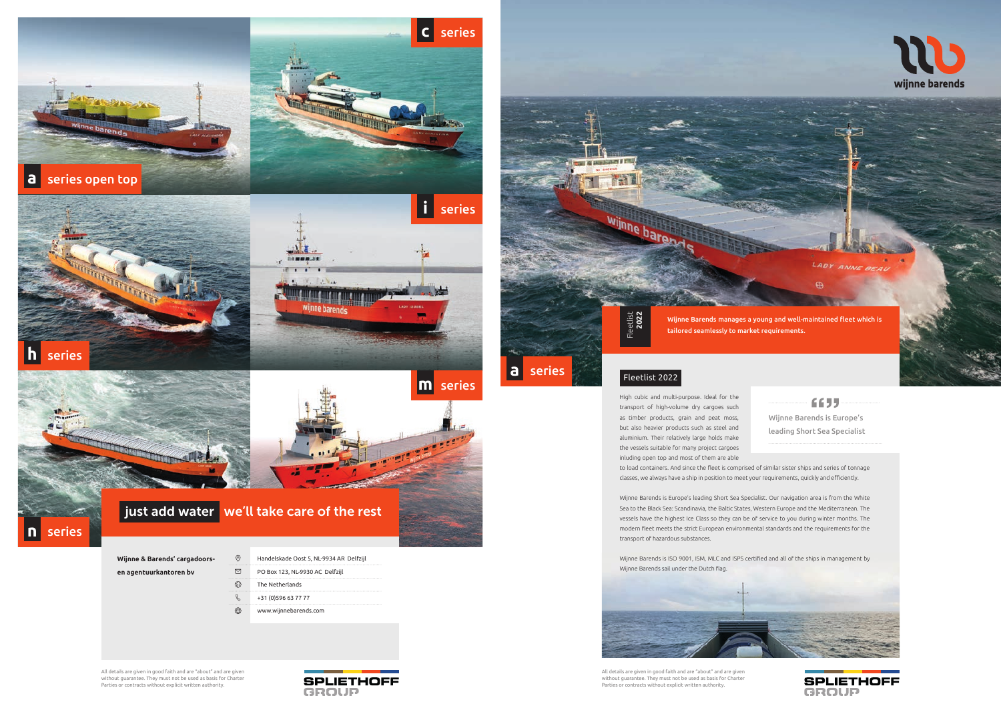All details are given in good faith and are "about" and are given without guarantee. They must not be used as basis for Charter Parties or contracts without explicit written authority.





All details are given in good faith and are "about" and are given without guarantee. They must not be used as basis for Charter Parties or contracts without explicit written authority.

High cubic and multi-purpose. Ideal for the  $6655$ transport of high-volume dry cargoes such as timber products, grain and peat moss, Wijnne Barends is Europe's but also heavier products such as steel and leading Short Sea Specialist aluminium. Their relatively large holds make the vessels suitable for many project cargoes inluding open top and most of them are able to load containers. And since the fleet is comprised of similar sister ships and series of tonnage classes, we always have a ship in position to meet your requirements, quickly and efficiently.



Wijnne Barends is Europe's leading Short Sea Specialist. Our navigation area is from the White Sea to the Black Sea: Scandinavia, the Baltic States, Western Europe and the Mediterranean. The vessels have the highest Ice Class so they can be of service to you during winter months. The modern fleet meets the strict European environmental standards and the requirements for the transport of hazardous substances.

Wijnne Barends is ISO 9001, ISM, MLC and ISPS certified and all of the ships in management by Wijnne Barends sail under the Dutch flag.



Wijnne Barends manages a young and well-maintained fleet which is

LADY ANNE BEAU



tailored seamlessly to market requirements.

## Fleetlist 2022<br>
Fleetlist 2022

**a** series